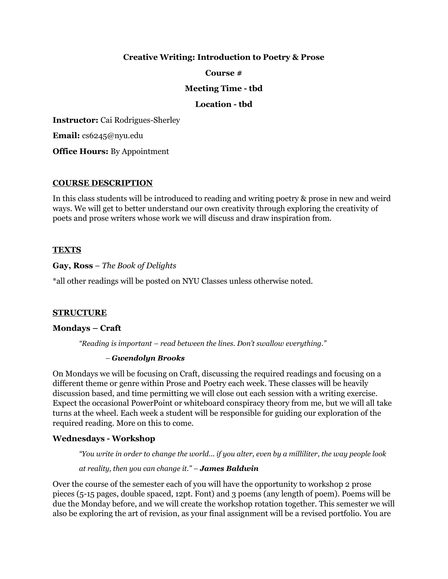## **Creative Writing: Introduction to Poetry & Prose**

#### **Course #**

#### **Meeting Time - tbd**

#### **Location - tbd**

**Instructor:** Cai Rodrigues-Sherley

**Email:** cs6245@nyu.edu

**Office Hours:** By Appointment

#### **COURSE DESCRIPTION**

In this class students will be introduced to reading and writing poetry & prose in new and weird ways. We will get to better understand our own creativity through exploring the creativity of poets and prose writers whose work we will discuss and draw inspiration from.

#### **TEXTS**

**Gay, Ross** – *The Book of Delights*

\*all other readings will be posted on NYU Classes unless otherwise noted.

#### **STRUCTURE**

#### **Mondays – Craft**

*"Reading is important – read between the lines. Don't swallow everything."* 

#### *– Gwendolyn Brooks*

On Mondays we will be focusing on Craft, discussing the required readings and focusing on a different theme or genre within Prose and Poetry each week. These classes will be heavily discussion based, and time permitting we will close out each session with a writing exercise. Expect the occasional PowerPoint or whiteboard conspiracy theory from me, but we will all take turns at the wheel. Each week a student will be responsible for guiding our exploration of the required reading. More on this to come.

#### **Wednesdays - Workshop**

*"You write in order to change the world... if you alter, even by a milliliter, the way people look*

#### *at reality, then you can change it." – James Baldwin*

Over the course of the semester each of you will have the opportunity to workshop 2 prose pieces (5-15 pages, double spaced, 12pt. Font) and 3 poems (any length of poem). Poems will be due the Monday before, and we will create the workshop rotation together. This semester we will also be exploring the art of revision, as your final assignment will be a revised portfolio. You are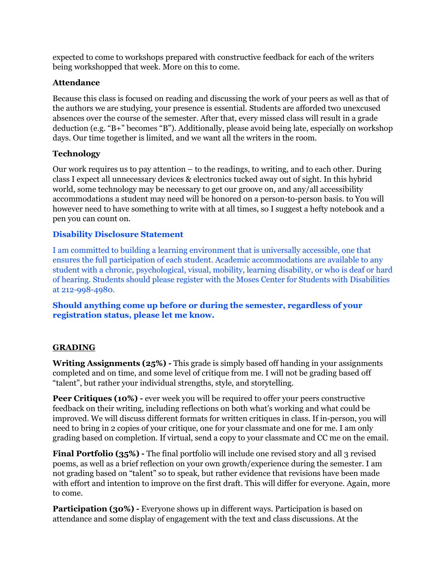expected to come to workshops prepared with constructive feedback for each of the writers being workshopped that week. More on this to come.

## **Attendance**

Because this class is focused on reading and discussing the work of your peers as well as that of the authors we are studying, your presence is essential. Students are afforded two unexcused absences over the course of the semester. After that, every missed class will result in a grade deduction (e.g. "B+" becomes "B"). Additionally, please avoid being late, especially on workshop days. Our time together is limited, and we want all the writers in the room.

## **Technology**

Our work requires us to pay attention – to the readings, to writing, and to each other. During class I expect all unnecessary devices & electronics tucked away out of sight. In this hybrid world, some technology may be necessary to get our groove on, and any/all accessibility accommodations a student may need will be honored on a person-to-person basis. to You will however need to have something to write with at all times, so I suggest a hefty notebook and a pen you can count on.

## **Disability Disclosure Statement**

I am committed to building a learning environment that is universally accessible, one that ensures the full participation of each student. Academic accommodations are available to any student with a chronic, psychological, visual, mobility, learning disability, or who is deaf or hard of hearing. Students should please register with the Moses Center for Students with Disabilities at 212-998-4980.

**Should anything come up before or during the semester, regardless of your registration status, please let me know.**

## **GRADING**

**Writing Assignments (25%) -** This grade is simply based off handing in your assignments completed and on time, and some level of critique from me. I will not be grading based off "talent", but rather your individual strengths, style, and storytelling.

**Peer Critiques (10%) -** ever week you will be required to offer your peers constructive feedback on their writing, including reflections on both what's working and what could be improved. We will discuss different formats for written critiques in class. If in-person, you will need to bring in 2 copies of your critique, one for your classmate and one for me. I am only grading based on completion. If virtual, send a copy to your classmate and CC me on the email.

**Final Portfolio (35%)** - The final portfolio will include one revised story and all 3 revised poems, as well as a brief reflection on your own growth/experience during the semester. I am not grading based on "talent" so to speak, but rather evidence that revisions have been made with effort and intention to improve on the first draft. This will differ for everyone. Again, more to come.

**Participation (30%) -** Everyone shows up in different ways. Participation is based on attendance and some display of engagement with the text and class discussions. At the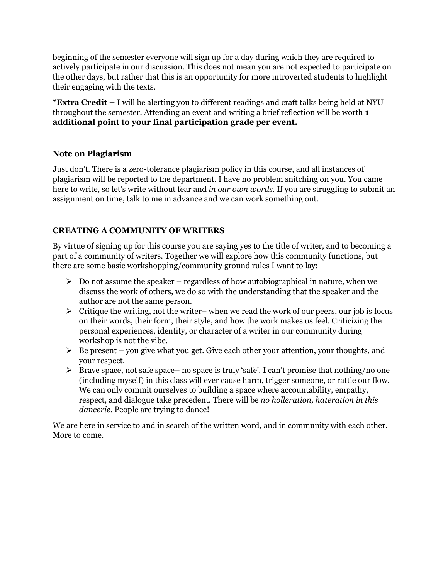beginning of the semester everyone will sign up for a day during which they are required to actively participate in our discussion. This does not mean you are not expected to participate on the other days, but rather that this is an opportunity for more introverted students to highlight their engaging with the texts.

**\*Extra Credit –** I will be alerting you to different readings and craft talks being held at NYU throughout the semester. Attending an event and writing a brief reflection will be worth **1 additional point to your final participation grade per event.**

## **Note on Plagiarism**

Just don't. There is a zero-tolerance plagiarism policy in this course, and all instances of plagiarism will be reported to the department. I have no problem snitching on you. You came here to write, so let's write without fear and *in our own words.* If you are struggling to submit an assignment on time, talk to me in advance and we can work something out.

## **CREATING A COMMUNITY OF WRITERS**

By virtue of signing up for this course you are saying yes to the title of writer, and to becoming a part of a community of writers. Together we will explore how this community functions, but there are some basic workshopping/community ground rules I want to lay:

- $\triangleright$  Do not assume the speaker regardless of how autobiographical in nature, when we discuss the work of others, we do so with the understanding that the speaker and the author are not the same person.
- $\triangleright$  Critique the writing, not the writer– when we read the work of our peers, our job is focus on their words, their form, their style, and how the work makes us feel. Criticizing the personal experiences, identity, or character of a writer in our community during workshop is not the vibe.
- $\triangleright$  Be present you give what you get. Give each other your attention, your thoughts, and your respect.
- Brave space, not safe space– no space is truly 'safe'. I can't promise that nothing/no one (including myself) in this class will ever cause harm, trigger someone, or rattle our flow. We can only commit ourselves to building a space where accountability, empathy, respect, and dialogue take precedent. There will be *no holleration, hateration in this dancerie*. People are trying to dance!

We are here in service to and in search of the written word, and in community with each other. More to come.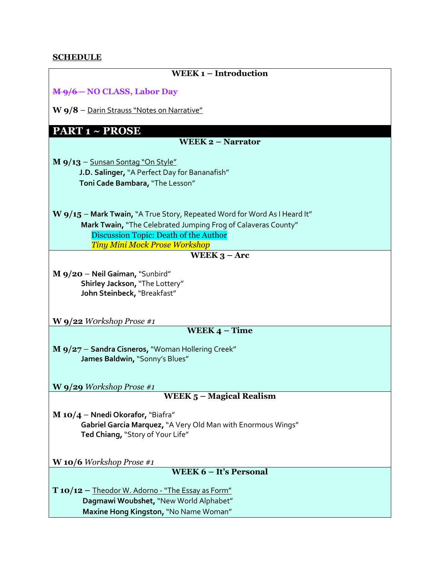## **SCHEDULE**

| <b>WEEK1-Introduction</b>                                                                                                                                                                                                                     |
|-----------------------------------------------------------------------------------------------------------------------------------------------------------------------------------------------------------------------------------------------|
| M-9/6-NO CLASS, Labor Day                                                                                                                                                                                                                     |
| W 9/8 - Darin Strauss "Notes on Narrative"                                                                                                                                                                                                    |
| <b>PART 1 ~ PROSE</b>                                                                                                                                                                                                                         |
| <b>WEEK 2 - Narrator</b>                                                                                                                                                                                                                      |
| $\mathbf{M}$ 9/13 – Sunsan Sontag "On Style"<br>J.D. Salinger, "A Perfect Day for Bananafish"<br>Toni Cade Bambara, "The Lesson"                                                                                                              |
| $\mathbf{W}$ 9/15 – Mark Twain, "A True Story, Repeated Word for Word As I Heard It"<br>Mark Twain, "The Celebrated Jumping Frog of Calaveras County"<br><b>Discussion Topic: Death of the Author</b><br><b>Tiny Mini Mock Prose Workshop</b> |
| WEEK $3 - Arc$                                                                                                                                                                                                                                |
| M 9/20 - Neil Gaiman, "Sunbird"<br>Shirley Jackson, "The Lottery"<br>John Steinbeck, "Breakfast"<br><b>W</b> 9/22 <i>Workshop Prose</i> #1                                                                                                    |
| WEEK $4 - Time$                                                                                                                                                                                                                               |
| M 9/27 - Sandra Cisneros, "Woman Hollering Creek"<br>James Baldwin, "Sonny's Blues"                                                                                                                                                           |
| <b>W</b> 9/29 <i>Workshop Prose</i> #1                                                                                                                                                                                                        |
| WEEK 5 - Magical Realism                                                                                                                                                                                                                      |
| M 10/4 - Nnedi Okorafor, "Biafra"<br>Gabriel Garcia Marquez, "A Very Old Man with Enormous Wings"<br>Ted Chiang, "Story of Your Life"                                                                                                         |
| <b>W</b> 10/6 <i>Workshop Prose</i> #1                                                                                                                                                                                                        |
| <b>WEEK 6 - It's Personal</b>                                                                                                                                                                                                                 |
| $T10/12$ – Theodor W. Adorno - "The Essay as Form"<br>Dagmawi Woubshet, "New World Alphabet"<br>Maxine Hong Kingston, "No Name Woman"                                                                                                         |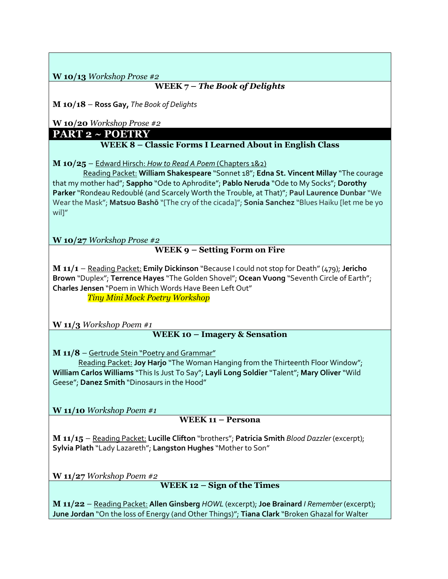**W 10/13** *Workshop Prose #2*

## **WEEK 7 –** *The Book of Delights*

**M 10/18** – **Ross Gay,** *The Book of Delights*

**W 10/20** *Workshop Prose #2*

**PART 2 ~ POETRY**

**WEEK 8 – Classic Forms I Learned About in English Class**

**M 10/25** – Edward Hirsch: *How to Read A Poem* (Chapters 1&2)

 Reading Packet: **William Shakespeare** "Sonnet 18"; **Edna St. Vincent Millay** "The courage that my mother had"; **Sappho** "Ode to Aphrodite"; **Pablo Neruda** "Ode to My Socks"; **Dorothy Parker**"Rondeau Redoublé (and Scarcely Worth the Trouble, at That)"; **Paul Laurence Dunbar** "We Wear the Mask"; **Matsuo Bashō** "[The cry of the cicada]"; **Sonia Sanchez** "Blues Haiku [let me be yo wil<sup>"</sup>

**W 10/27** *Workshop Prose #2*

## **WEEK 9 – Setting Form on Fire**

**M 11/1** – Reading Packet: **Emily Dickinson** "Because I could not stop for Death" (479); **Jericho Brown** "Duplex"; **Terrence Hayes** "The Golden Shovel"; **Ocean Vuong** "Seventh Circle of Earth"; **Charles Jensen** "Poem in Which Words Have Been Left Out"

*Tiny Mini Mock Poetry Workshop*

**W 11/3** *Workshop Poem #1*

## **WEEK 10 – Imagery & Sensation**

**M 11/8** – Gertrude Stein "Poetry and Grammar"

 Reading Packet: **Joy Harjo** "The Woman Hanging from the Thirteenth Floor Window"; **William Carlos Williams** "This Is Just To Say"; **Layli Long Soldier** "Talent"; **Mary Oliver** "Wild Geese"; **Danez Smith** "Dinosaurs in the Hood"

**W 11/10** *Workshop Poem #1*

## **WEEK 11 – Persona**

**M 11/15** – Reading Packet: **Lucille Clifton** "brothers"; **Patricia Smith** *Blood Dazzler* (excerpt); **Sylvia Plath** "Lady Lazareth"; **Langston Hughes** "Mother to Son"

**W 11/27** *Workshop Poem #2*

**WEEK 12 – Sign of the Times**

**M 11/22** – Reading Packet: **Allen Ginsberg** *HOWL* (excerpt); **Joe Brainard** *I Remember* (excerpt); **June Jordan** "On the loss of Energy (and Other Things)"; **Tiana Clark** "Broken Ghazal for Walter